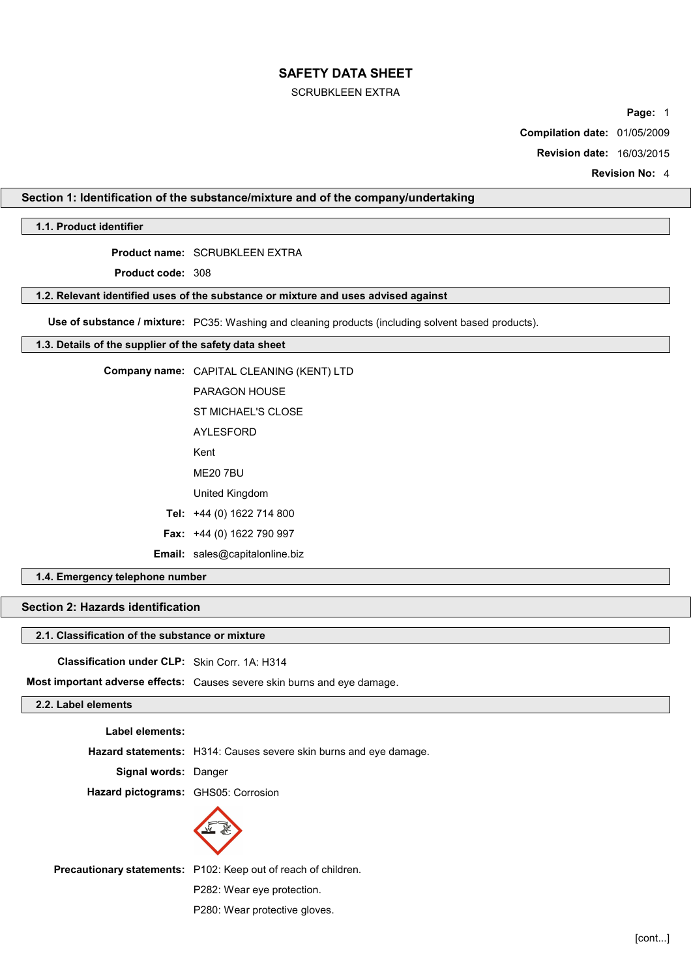## SCRUBKLEEN EXTRA

**Page:** 1

**Compilation date:** 01/05/2009

**Revision date:** 16/03/2015

**Revision No:** 4

# **Section 1: Identification of the substance/mixture and of the company/undertaking**

# **1.1. Product identifier**

**Product name:** SCRUBKLEEN EXTRA

**Product code:** 308

# **1.2. Relevant identified uses of the substance or mixture and uses advised against**

**Use of substance / mixture:** PC35: Washing and cleaning products (including solvent based products).

# **1.3. Details of the supplier of the safety data sheet**

| Company name: CAPITAL CLEANING (KENT) LTD |
|-------------------------------------------|
|                                           |
| PARAGON HOUSF                             |
| ST MICHAEL'S CLOSE                        |
| AYI ESEORD                                |
| Kent                                      |
| MF20 7BU                                  |
| United Kingdom                            |
| Tel: +44 (0) 1622 714 800                 |
| <b>Fax:</b> $+44$ (0) 1622 790 997        |
| Email: sales@capitalonline.biz            |
|                                           |

# **1.4. Emergency telephone number**

# **Section 2: Hazards identification**

# **2.1. Classification of the substance or mixture**

**Classification under CLP:** Skin Corr. 1A: H314

**Most important adverse effects:** Causes severe skin burns and eye damage.

# **2.2. Label elements**

**Label elements:**

**Hazard statements:** H314: Causes severe skin burns and eye damage.

**Signal words:** Danger

**Hazard pictograms:** GHS05: Corrosion



**Precautionary statements:** P102: Keep out of reach of children.

P282: Wear eye protection.

P280: Wear protective gloves.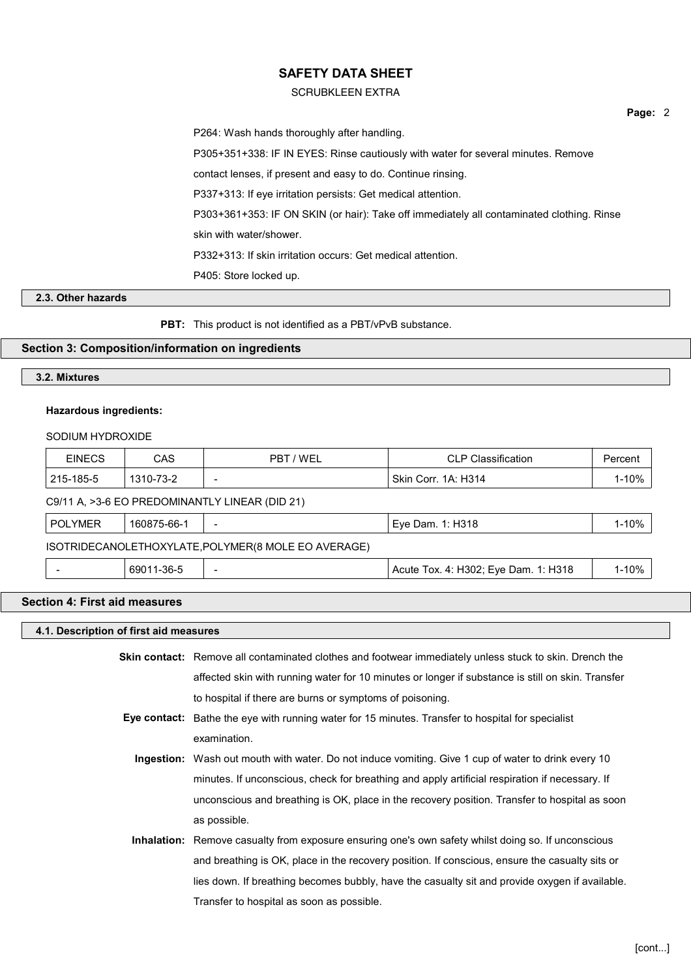## SCRUBKLEEN EXTRA

**Page:** 2

P264: Wash hands thoroughly after handling. P305+351+338: IF IN EYES: Rinse cautiously with water for several minutes. Remove contact lenses, if present and easy to do. Continue rinsing. P337+313: If eye irritation persists: Get medical attention. P303+361+353: IF ON SKIN (or hair): Take off immediately all contaminated clothing. Rinse skin with water/shower. P332+313: If skin irritation occurs: Get medical attention. P405: Store locked up.

# **2.3. Other hazards**

**PBT:** This product is not identified as a PBT/vPvB substance.

# **Section 3: Composition/information on ingredients**

# **3.2. Mixtures**

#### **Hazardous ingredients:**

## SODIUM HYDROXIDE

| <b>EINECS</b>  | <b>CAS</b>  | PBT / WEL                                           | <b>CLP Classification</b>            | Percent   |
|----------------|-------------|-----------------------------------------------------|--------------------------------------|-----------|
| 215-185-5      | 1310-73-2   |                                                     | Skin Corr. 1A: H314                  | $1 - 10%$ |
|                |             | C9/11 A, >3-6 EO PREDOMINANTLY LINEAR (DID 21)      |                                      |           |
| <b>POLYMER</b> | 160875-66-1 | $\overline{\phantom{0}}$                            | Eye Dam. 1: H318                     | $1 - 10%$ |
|                |             | ISOTRIDECANOLETHOXYLATE, POLYMER(8 MOLE EO AVERAGE) |                                      |           |
|                | 69011-36-5  | $\overline{\phantom{0}}$                            | Acute Tox. 4: H302; Eye Dam. 1: H318 | $1 - 10%$ |

# **Section 4: First aid measures**

#### **4.1. Description of first aid measures**

**Skin contact:** Remove all contaminated clothes and footwear immediately unless stuck to skin. Drench the affected skin with running water for 10 minutes or longer if substance is still on skin. Transfer to hospital if there are burns or symptoms of poisoning.

- **Eye contact:** Bathe the eye with running water for 15 minutes. Transfer to hospital for specialist examination.
	- **Ingestion:** Wash out mouth with water. Do not induce vomiting. Give 1 cup of water to drink every 10 minutes. If unconscious, check for breathing and apply artificial respiration if necessary. If unconscious and breathing is OK, place in the recovery position. Transfer to hospital as soon as possible.
	- **Inhalation:** Remove casualty from exposure ensuring one's own safety whilst doing so. If unconscious and breathing is OK, place in the recovery position. If conscious, ensure the casualty sits or lies down. If breathing becomes bubbly, have the casualty sit and provide oxygen if available. Transfer to hospital as soon as possible.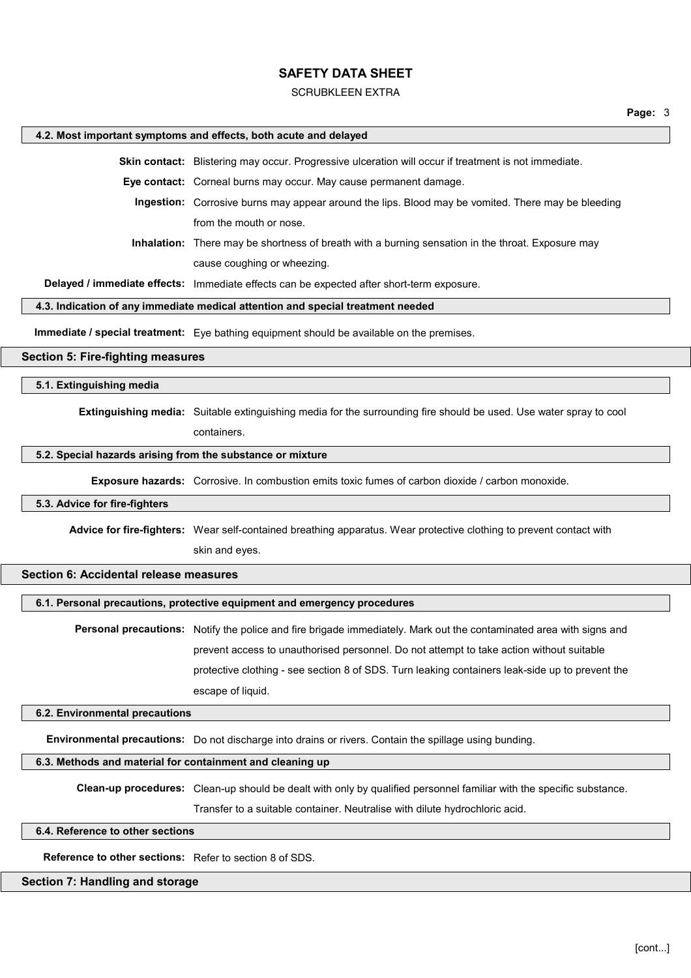#### SCRUBKLEEN EXTRA

#### **4.2. Most important symptoms and effects, both acute and delayed**

**Skin contact:** Blistering may occur. Progressive ulceration will occur if treatment is not immediate.

**Eye contact:** Corneal burns may occur. May cause permanent damage.

**Ingestion:** Corrosive burns may appear around the lips. Blood may be vomited. There may be bleeding from the mouth or nose.

**Inhalation:** There may be shortness of breath with a burning sensation in the throat. Exposure may cause coughing or wheezing.

**Delayed / immediate effects:** Immediate effects can be expected after short-term exposure.

#### **4.3. Indication of any immediate medical attention and special treatment needed**

**Immediate / special treatment:** Eye bathing equipment should be available on the premises.

#### **Section 5: Fire-fighting measures**

**5.1. Extinguishing media**

**Extinguishing media:** Suitable extinguishing media for the surrounding fire should be used. Use water spray to cool

containers.

#### **5.2. Special hazards arising from the substance or mixture**

**Exposure hazards:** Corrosive. In combustion emits toxic fumes of carbon dioxide / carbon monoxide.

#### **5.3. Advice for fire-fighters**

**Advice for fire-fighters:** Wear self-contained breathing apparatus. Wear protective clothing to prevent contact with skin and eyes.

# **Section 6: Accidental release measures**

# **6.1. Personal precautions, protective equipment and emergency procedures**

**Personal precautions:** Notify the police and fire brigade immediately. Mark out the contaminated area with signs and prevent access to unauthorised personnel. Do not attempt to take action without suitable protective clothing - see section 8 of SDS. Turn leaking containers leak-side up to prevent the escape of liquid.

#### **6.2. Environmental precautions**

**Environmental precautions:** Do not discharge into drains or rivers. Contain the spillage using bunding.

#### **6.3. Methods and material for containment and cleaning up**

**Clean-up procedures:** Clean-up should be dealt with only by qualified personnel familiar with the specific substance.

Transfer to a suitable container. Neutralise with dilute hydrochloric acid.

#### **6.4. Reference to other sections**

**Reference to other sections:** Refer to section 8 of SDS.

# **Section 7: Handling and storage**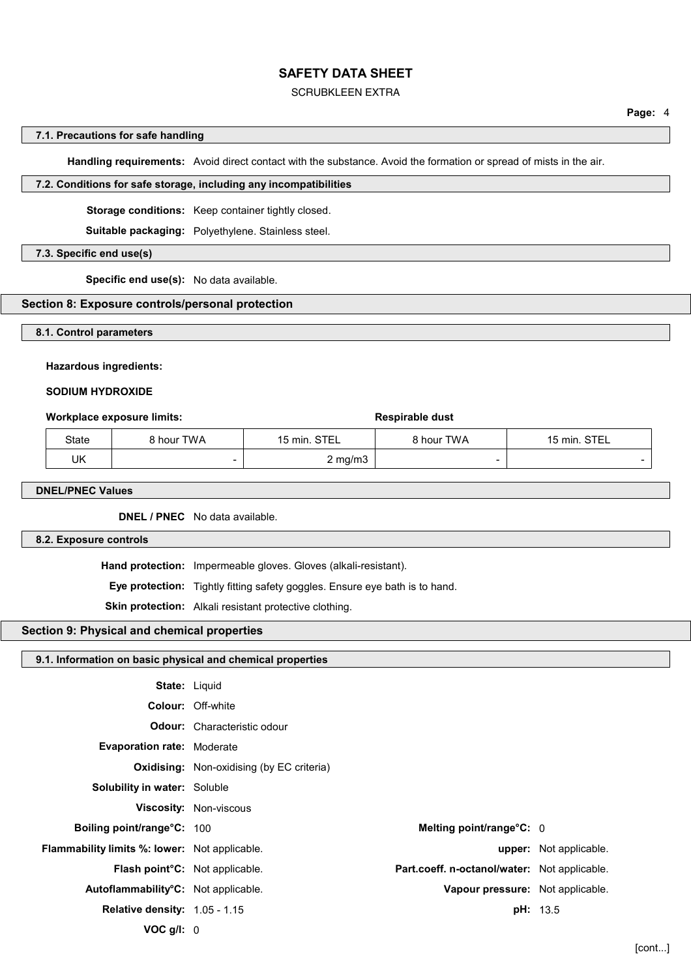## SCRUBKLEEN EXTRA

#### **7.1. Precautions for safe handling**

**Handling requirements:** Avoid direct contact with the substance. Avoid the formation or spread of mists in the air.

#### **7.2. Conditions for safe storage, including any incompatibilities**

**Storage conditions:** Keep container tightly closed.

**Suitable packaging:** Polyethylene. Stainless steel.

#### **7.3. Specific end use(s)**

**Specific end use(s):** No data available.

## **Section 8: Exposure controls/personal protection**

#### **8.1. Control parameters**

#### **Hazardous ingredients:**

## **SODIUM HYDROXIDE**

#### **Workplace exposure limits: Respirable dust**

| State | 3 hour TWA | 15 min. STEL | 8 hour TWA               | STEL<br>15 min. |
|-------|------------|--------------|--------------------------|-----------------|
| UK    | -          | $2$ mg/m $3$ | $\overline{\phantom{0}}$ |                 |

# **DNEL/PNEC Values**

**DNEL / PNEC** No data available.

# **8.2. Exposure controls**

**Hand protection:** Impermeable gloves. Gloves (alkali-resistant).

**Eye protection:** Tightly fitting safety goggles. Ensure eye bath is to hand.

**Skin protection:** Alkali resistant protective clothing.

# **Section 9: Physical and chemical properties**

# **9.1. Information on basic physical and chemical properties**

| <b>State: Liquid</b>                                 |                                                  |                                              |                        |
|------------------------------------------------------|--------------------------------------------------|----------------------------------------------|------------------------|
|                                                      | <b>Colour: Off-white</b>                         |                                              |                        |
|                                                      | <b>Odour:</b> Characteristic odour               |                                              |                        |
| <b>Evaporation rate: Moderate</b>                    |                                                  |                                              |                        |
|                                                      | <b>Oxidising:</b> Non-oxidising (by EC criteria) |                                              |                        |
| <b>Solubility in water: Soluble</b>                  |                                                  |                                              |                        |
|                                                      | Viscosity: Non-viscous                           |                                              |                        |
| <b>Boiling point/range°C: 100</b>                    |                                                  | Melting point/range°C: 0                     |                        |
| <b>Flammability limits %: lower:</b> Not applicable. |                                                  |                                              | upper: Not applicable. |
| <b>Flash point<sup>°</sup>C:</b> Not applicable.     |                                                  | Part.coeff. n-octanol/water: Not applicable. |                        |
| Autoflammability°C: Not applicable.                  |                                                  | Vapour pressure: Not applicable.             |                        |
| <b>Relative density: 1.05 - 1.15</b>                 |                                                  |                                              | <b>pH:</b> 13.5        |
| $VOC$ g/l: $0$                                       |                                                  |                                              |                        |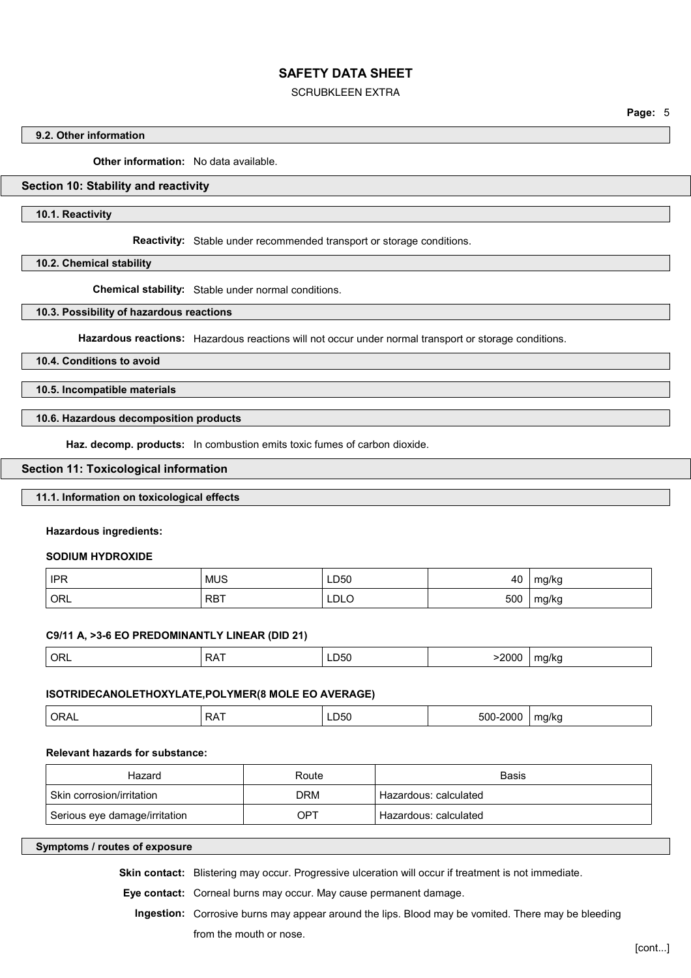#### SCRUBKLEEN EXTRA

**Page:** 5

## **9.2. Other information**

**Other information:** No data available.

# **Section 10: Stability and reactivity**

**10.1. Reactivity**

**Reactivity:** Stable under recommended transport or storage conditions.

**10.2. Chemical stability**

**Chemical stability:** Stable under normal conditions.

**10.3. Possibility of hazardous reactions**

**Hazardous reactions:** Hazardous reactions will not occur under normal transport or storage conditions.

**10.4. Conditions to avoid**

**10.5. Incompatible materials**

**10.6. Hazardous decomposition products**

**Haz. decomp. products:** In combustion emits toxic fumes of carbon dioxide.

#### **Section 11: Toxicological information**

# **11.1. Information on toxicological effects**

**Hazardous ingredients:**

**SODIUM HYDROXIDE**

| <b>IPR</b>       | <b>MUS</b> | LD50 | 40  | mg/kg |
|------------------|------------|------|-----|-------|
| ORL <sup>'</sup> | <b>RBT</b> | LDLO | 500 | mg/kg |

#### **C9/11 A, >3-6 EO PREDOMINANTLY LINEAR (DID 21)**

# **ISOTRIDECANOLETHOXYLATE,POLYMER(8 MOLE EO AVERAGE)**

|  | ORA.<br>◡ ・ ・ ・ ・ ・ ― | . .<br><i>⊶</i> | –D50 − | 500<br>,,,, | m<br>a/kr |
|--|-----------------------|-----------------|--------|-------------|-----------|
|--|-----------------------|-----------------|--------|-------------|-----------|

#### **Relevant hazards for substance:**

| Hazard                        | Route | Basis                 |
|-------------------------------|-------|-----------------------|
| Skin corrosion/irritation     | DRM   | Hazardous: calculated |
| Serious eye damage/irritation | OPT   | Hazardous: calculated |

#### **Symptoms / routes of exposure**

**Skin contact:** Blistering may occur. Progressive ulceration will occur if treatment is not immediate.

**Eye contact:** Corneal burns may occur. May cause permanent damage.

**Ingestion:** Corrosive burns may appear around the lips. Blood may be vomited. There may be bleeding from the mouth or nose.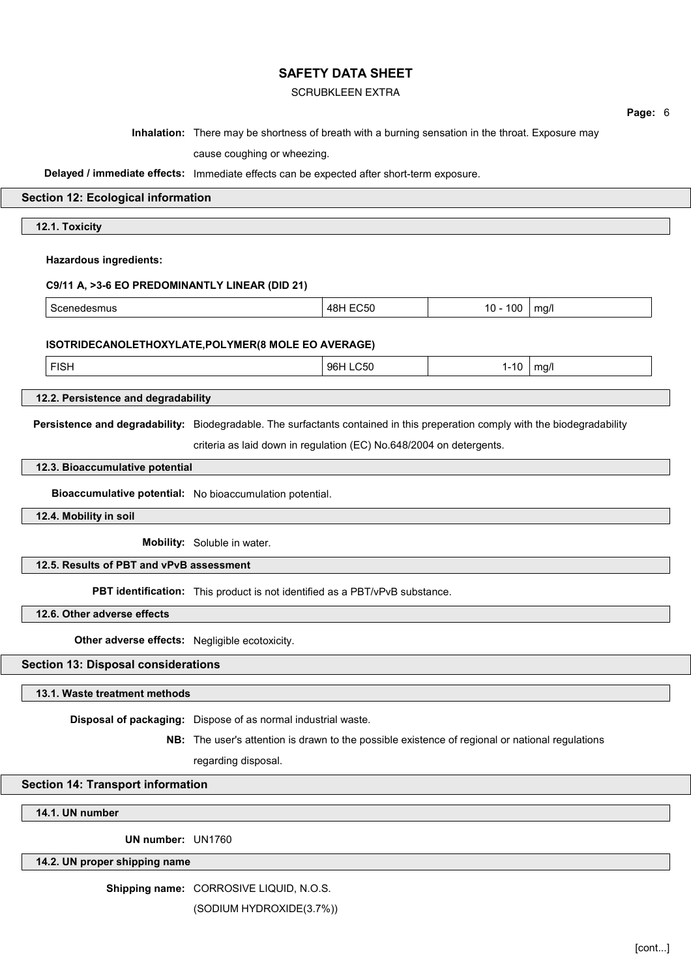# SCRUBKLEEN EXTRA

|                                                                                                                              |                                                                                                   |                 |            |      | Page: 6 |
|------------------------------------------------------------------------------------------------------------------------------|---------------------------------------------------------------------------------------------------|-----------------|------------|------|---------|
|                                                                                                                              | Inhalation: There may be shortness of breath with a burning sensation in the throat. Exposure may |                 |            |      |         |
|                                                                                                                              | cause coughing or wheezing.                                                                       |                 |            |      |         |
| Delayed / immediate effects: Immediate effects can be expected after short-term exposure.                                    |                                                                                                   |                 |            |      |         |
| <b>Section 12: Ecological information</b>                                                                                    |                                                                                                   |                 |            |      |         |
| 12.1. Toxicity                                                                                                               |                                                                                                   |                 |            |      |         |
|                                                                                                                              |                                                                                                   |                 |            |      |         |
| <b>Hazardous ingredients:</b>                                                                                                |                                                                                                   |                 |            |      |         |
| C9/11 A, >3-6 EO PREDOMINANTLY LINEAR (DID 21)                                                                               |                                                                                                   |                 |            |      |         |
| Scenedesmus                                                                                                                  |                                                                                                   | <b>48H EC50</b> | $10 - 100$ | mg/l |         |
|                                                                                                                              |                                                                                                   |                 |            |      |         |
| ISOTRIDECANOLETHOXYLATE, POLYMER(8 MOLE EO AVERAGE)                                                                          |                                                                                                   |                 |            |      |         |
| <b>FISH</b>                                                                                                                  |                                                                                                   | 96H LC50        | $1 - 10$   | mg/l |         |
| 12.2. Persistence and degradability                                                                                          |                                                                                                   |                 |            |      |         |
| Persistence and degradability: Biodegradable. The surfactants contained in this preperation comply with the biodegradability |                                                                                                   |                 |            |      |         |
|                                                                                                                              | criteria as laid down in regulation (EC) No.648/2004 on detergents.                               |                 |            |      |         |
| 12.3. Bioaccumulative potential                                                                                              |                                                                                                   |                 |            |      |         |
| Bioaccumulative potential: No bioaccumulation potential.                                                                     |                                                                                                   |                 |            |      |         |
| 12.4. Mobility in soil                                                                                                       |                                                                                                   |                 |            |      |         |
|                                                                                                                              | Mobility: Soluble in water.                                                                       |                 |            |      |         |
| 12.5. Results of PBT and vPvB assessment                                                                                     |                                                                                                   |                 |            |      |         |
|                                                                                                                              | PBT identification: This product is not identified as a PBT/vPvB substance.                       |                 |            |      |         |
| 12.6. Other adverse effects                                                                                                  |                                                                                                   |                 |            |      |         |
| Other adverse effects: Negligible ecotoxicity.                                                                               |                                                                                                   |                 |            |      |         |
| <b>Section 13: Disposal considerations</b>                                                                                   |                                                                                                   |                 |            |      |         |
| 13.1. Waste treatment methods                                                                                                |                                                                                                   |                 |            |      |         |
|                                                                                                                              |                                                                                                   |                 |            |      |         |
|                                                                                                                              | Disposal of packaging: Dispose of as normal industrial waste.                                     |                 |            |      |         |
|                                                                                                                              | NB: The user's attention is drawn to the possible existence of regional or national regulations   |                 |            |      |         |
|                                                                                                                              | regarding disposal.                                                                               |                 |            |      |         |
| <b>Section 14: Transport information</b>                                                                                     |                                                                                                   |                 |            |      |         |
| 14.1. UN number                                                                                                              |                                                                                                   |                 |            |      |         |
| UN number: UN1760                                                                                                            |                                                                                                   |                 |            |      |         |

**14.2. UN proper shipping name**

**Shipping name:** CORROSIVE LIQUID, N.O.S.

(SODIUM HYDROXIDE(3.7%))